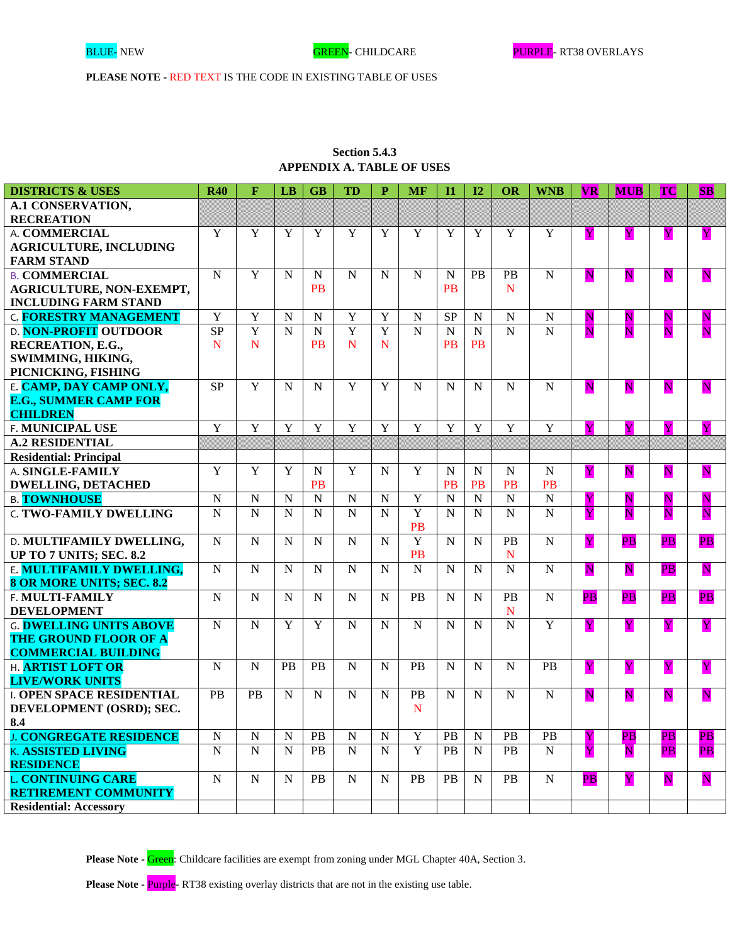# **Section 5.4.3 APPENDIX A. TABLE OF USES**

| <b>DISTRICTS &amp; USES</b>    | <b>R40</b>     | F              | LB             | <b>GB</b>      | <b>TD</b>      | P              | <b>MF</b>      | $\mathbf{I}$ | 12             | OR             | <b>WNB</b>     | <b>VR</b>                | <b>MUB</b>              | <b>TC</b>                | <b>SB</b>                |
|--------------------------------|----------------|----------------|----------------|----------------|----------------|----------------|----------------|--------------|----------------|----------------|----------------|--------------------------|-------------------------|--------------------------|--------------------------|
| <b>A.1 CONSERVATION,</b>       |                |                |                |                |                |                |                |              |                |                |                |                          |                         |                          |                          |
| <b>RECREATION</b>              |                |                |                |                |                |                |                |              |                |                |                |                          |                         |                          |                          |
| A. COMMERCIAL                  | Y              | Y              | Y              | Y              | Y              | Y              | Y              | Y            | Y              | Y              | Y              | Y                        | Y                       | $\mathbf Y$              | $\overline{\mathbf{Y}}$  |
| <b>AGRICULTURE, INCLUDING</b>  |                |                |                |                |                |                |                |              |                |                |                |                          |                         |                          |                          |
| <b>FARM STAND</b>              |                |                |                |                |                |                |                |              |                |                |                |                          |                         |                          |                          |
| <b>B. COMMERCIAL</b>           | $\mathbf N$    | $\mathbf Y$    | $\mathbf N$    | $\mathbf N$    | ${\bf N}$      | N              | $\mathbf N$    | $\mathbf N$  | <b>PB</b>      | PB             | $\mathbf N$    | $\overline{\mathbf{N}}$  | $\overline{\mathbf{N}}$ | $\mathbf N$              | ${\bf N}$                |
| AGRICULTURE, NON-EXEMPT,       |                |                |                | <b>PB</b>      |                |                |                | <b>PB</b>    |                | $\mathbf N$    |                |                          |                         |                          |                          |
| <b>INCLUDING FARM STAND</b>    |                |                |                |                |                |                |                |              |                |                |                |                          |                         |                          |                          |
| <b>C. FORESTRY MANAGEMENT</b>  | $\mathbf Y$    | $\mathbf Y$    | ${\bf N}$      | ${\bf N}$      | $\mathbf Y$    | $\mathbf Y$    | ${\bf N}$      | <b>SP</b>    | $\mathbf N$    | $\mathbf N$    | ${\bf N}$      | $\mathbf N$              | Ν                       | N                        | N                        |
| <b>D. NON-PROFIT OUTDOOR</b>   | <b>SP</b>      | $\overline{Y}$ | $\overline{N}$ | $\mathbf N$    | $\overline{Y}$ | $\overline{Y}$ | $\overline{N}$ | $\mathbf N$  | $\mathbf N$    | $\overline{N}$ | $\overline{N}$ | N                        | $\overline{\mathbf{N}}$ | N                        | $\overline{\text{N}}$    |
| RECREATION, E.G.,              | $\mathbf N$    | $\mathbf N$    |                | <b>PB</b>      | $\mathbf N$    | N              |                | PB           | <b>PB</b>      |                |                |                          |                         |                          |                          |
| SWIMMING, HIKING,              |                |                |                |                |                |                |                |              |                |                |                |                          |                         |                          |                          |
| PICNICKING, FISHING            |                |                |                |                |                |                |                |              |                |                |                |                          |                         |                          |                          |
| E. CAMP, DAY CAMP ONLY,        | <b>SP</b>      | $\overline{Y}$ | N              | $\mathbf N$    | $\overline{Y}$ | Y              | N              | N            | N              | $\mathbf N$    | ${\bf N}$      | $\mathbf N$              | N                       | ${\bf N}$                | N                        |
| <b>E.G., SUMMER CAMP FOR</b>   |                |                |                |                |                |                |                |              |                |                |                |                          |                         |                          |                          |
| <b>CHILDREN</b>                |                |                |                |                |                |                |                |              |                |                |                |                          |                         |                          |                          |
| F. MUNICIPAL USE               | $\overline{Y}$ | $\overline{Y}$ | Y              | $\mathbf Y$    | $\overline{Y}$ | Y              | Y              | Y            | Y              | $\overline{Y}$ | $\overline{Y}$ | Y                        | Y                       | Y                        |                          |
| <b>A.2 RESIDENTIAL</b>         |                |                |                |                |                |                |                |              |                |                |                |                          |                         |                          |                          |
| <b>Residential: Principal</b>  |                |                |                |                |                |                |                |              |                |                |                |                          |                         |                          |                          |
| A. SINGLE-FAMILY               | $\overline{Y}$ | $\overline{Y}$ | Y              | $\mathbf N$    | Y              | $\mathbf N$    | Y              | N            | ${\bf N}$      | $\mathbf N$    | ${\bf N}$      | $\overline{\mathbf{Y}}$  | $\overline{\mathbf{N}}$ | $\mathbf N$              | $\overline{\mathbf{N}}$  |
| <b>DWELLING, DETACHED</b>      |                |                |                | <b>PB</b>      |                |                |                | PB           | <b>PB</b>      | <b>PB</b>      | <b>PB</b>      |                          |                         |                          |                          |
| <b>B. TOWNHOUSE</b>            | ${\bf N}$      | $\mathbf N$    | $\mathbf N$    | $\overline{N}$ | ${\bf N}$      | $\mathbf N$    | $\overline{Y}$ | $\mathbf N$  | $\overline{N}$ | $\overline{N}$ | $\overline{N}$ | $\mathbf{Y}$             | $\overline{\mathbf{N}}$ | $\mathbf N$              | ${\bf N}$                |
| <b>C. TWO-FAMILY DWELLING</b>  | $\mathbf N$    | $\overline{N}$ | $\overline{N}$ | $\overline{N}$ | ${\bf N}$      | $\overline{N}$ | Y              | $\mathbf N$  | N              | $\mathbf N$    | $\overline{N}$ | Y                        | $\overline{\mathbf{N}}$ | N                        | $\overline{\mathbf{N}}$  |
|                                |                |                |                |                |                |                | <b>PB</b>      |              |                |                |                |                          |                         |                          |                          |
| D. MULTIFAMILY DWELLING,       | $\mathbf N$    | ${\bf N}$      | $\mathbf N$    | $\mathbf N$    | ${\bf N}$      | $\mathbf N$    | Y              | $\mathbf N$  | ${\bf N}$      | PB             | ${\bf N}$      | $\overline{\mathbf{Y}}$  | $\overline{PB}$         | $\overline{\mathbf{PB}}$ | $\overline{\mathbf{PB}}$ |
| UP TO 7 UNITS; SEC. 8.2        |                |                |                |                |                |                | <b>PB</b>      |              |                | $\mathbf N$    |                |                          |                         |                          |                          |
| E. MULTIFAMILY DWELLING,       | ${\bf N}$      | $\mathbf N$    | $\mathbf N$    | $\mathbf N$    | ${\bf N}$      | N              | $\mathbf N$    | $\mathbf N$  | $\mathbf N$    | $\mathbf N$    | ${\bf N}$      | $\overline{\mathbf{N}}$  | $\overline{\mathbf{N}}$ | $\overline{\mathbf{PB}}$ | $\overline{\mathbf{N}}$  |
| 8 OR MORE UNITS; SEC. 8.2      |                |                |                |                |                |                |                |              |                |                |                |                          |                         |                          |                          |
| F. MULTI-FAMILY                | ${\bf N}$      | ${\bf N}$      | $\mathbf N$    | $\mathbf N$    | ${\bf N}$      | N              | PB             | $\mathbf N$  | $\mathbf N$    | PB             | ${\bf N}$      | $\overline{PB}$          | $\overline{PB}$         | $\overline{PB}$          | $\overline{\mathbf{PB}}$ |
| <b>DEVELOPMENT</b>             |                |                |                |                |                |                |                |              |                | N              |                |                          |                         |                          |                          |
| <b>G. DWELLING UNITS ABOVE</b> | $\mathbf N$    | $\mathbf N$    | Y              | $\mathbf Y$    | $\mathbf N$    | N              | $\mathbf N$    | $\mathbf N$  | $\mathbf N$    | $\mathbf N$    | $\mathbf Y$    | $\overline{\mathbf{Y}}$  | Y                       | Y                        | $\overline{\mathbf{Y}}$  |
| THE GROUND FLOOR OF A          |                |                |                |                |                |                |                |              |                |                |                |                          |                         |                          |                          |
| <b>COMMERCIAL BUILDING</b>     |                |                |                |                |                |                |                |              |                |                |                |                          |                         |                          |                          |
| H. ARTIST LOFT OR              | $\mathbf N$    | ${\bf N}$      | PB             | PB             | ${\bf N}$      | N              | PB             | $\mathbf N$  | $\mathbf N$    | $\mathbf N$    | PB             | Y                        | Y                       | Y                        | $\overline{\mathbf{Y}}$  |
| <b>LIVE/WORK UNITS</b>         |                |                |                |                |                |                |                |              |                |                |                |                          |                         |                          |                          |
| <b>LOPEN SPACE RESIDENTIAL</b> | PB             | PB             | N              | $\mathbf N$    | $\mathbf N$    | N              | PB             | $\mathbf N$  | $\mathbf N$    | $\mathbf N$    | ${\bf N}$      | $\mathbf N$              | N                       | $\mathbf N$              | $\overline{\mathbf{N}}$  |
| DEVELOPMENT (OSRD); SEC.       |                |                |                |                |                |                | N              |              |                |                |                |                          |                         |                          |                          |
| 8.4                            |                |                |                |                |                |                |                |              |                |                |                |                          |                         |                          |                          |
| <b>J. CONGREGATE RESIDENCE</b> | ${\bf N}$      | ${\bf N}$      | N              | <b>PB</b>      | ${\bf N}$      | $\mathbf N$    | $\mathbf Y$    | PB           | $\mathbf N$    | <b>PB</b>      | PB             | Y                        | $\overline{PB}$         | $\overline{PB}$          | $\overline{PB}$          |
| <b>K. ASSISTED LIVING</b>      | ${\bf N}$      | $\mathbf N$    | $\mathbf N$    | PB             | ${\bf N}$      | $\mathbf N$    | $\overline{Y}$ | PB           | ${\bf N}$      | PB             | ${\bf N}$      | Y                        | ${\bf N}$               | $\overline{PB}$          | $\overline{PB}$          |
| <b>RESIDENCE</b>               |                |                |                |                |                |                |                |              |                |                |                |                          |                         |                          |                          |
| <b>L. CONTINUING CARE</b>      | ${\bf N}$      | $\mathbf N$    | N              | PB             | $\mathbf N$    | N              | <b>PB</b>      | PB           | $\mathbf N$    | <b>PB</b>      | $\mathbf N$    | $\overline{\mathbf{PB}}$ | Y                       | ${\bf N}$                | ${\bf N}$                |
| <b>RETIREMENT COMMUNITY</b>    |                |                |                |                |                |                |                |              |                |                |                |                          |                         |                          |                          |
| <b>Residential: Accessory</b>  |                |                |                |                |                |                |                |              |                |                |                |                          |                         |                          |                          |

Please Note - Green: Childcare facilities are exempt from zoning under MGL Chapter 40A, Section 3.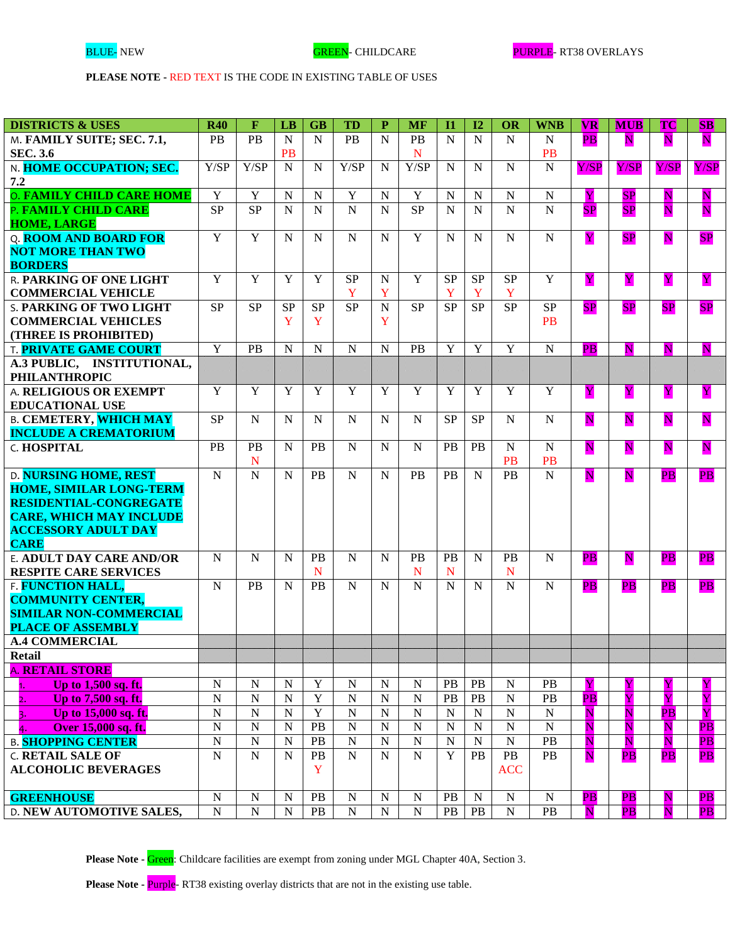| <b>DISTRICTS &amp; USES</b>                         | <b>R40</b>                       | $\mathbf F$                 | LB          | <b>GB</b>              | <b>TD</b>              | $\mathbf{P}$        | <b>MF</b>                   | $\mathbf{I}$   | 12             | <b>OR</b>                  | <b>WNB</b>             | $ {\bf{VR}} $            | <b>MUB</b>               | <b>TC</b>                | $\bf SB$                 |
|-----------------------------------------------------|----------------------------------|-----------------------------|-------------|------------------------|------------------------|---------------------|-----------------------------|----------------|----------------|----------------------------|------------------------|--------------------------|--------------------------|--------------------------|--------------------------|
| M. FAMILY SUITE; SEC. 7.1,                          | PB                               | PB                          | $\mathbf N$ | $\mathbf N$            | <b>PB</b>              | $\mathbf N$         | <b>PB</b>                   | N              | $\mathbf N$    | N                          | N                      | PB                       | $\overline{\mathbf{N}}$  | N                        | $\overline{\mathbf{N}}$  |
| <b>SEC. 3.6</b>                                     |                                  |                             | <b>PB</b>   |                        |                        |                     | N                           |                |                |                            | <b>PB</b>              |                          |                          |                          |                          |
| N. HOME OCCUPATION; SEC.                            | Y/SP                             | Y/SP                        | $\mathbf N$ | $\mathbf N$            | Y/SP                   | $\mathbf N$         | Y/SP                        | N              | N              | ${\bf N}$                  | $\mathbf N$            | Y/SP                     | Y/SP                     | Y/SP                     | Y/SP                     |
| 7.2                                                 |                                  |                             |             |                        |                        |                     |                             |                |                |                            |                        |                          |                          |                          |                          |
| <b>O. FAMILY CHILD CARE HOME</b>                    | $\mathbf Y$                      | $\mathbf Y$                 | $\mathbf N$ | N                      | $\mathbf Y$            | ${\bf N}$           | $\mathbf Y$                 | N              | $\mathbf N$    | $\mathbf N$                | $\mathbf N$            | Y                        | SP                       | ${\bf N}$                | ${\bf N}$                |
| P. FAMILY CHILD CARE                                | <b>SP</b>                        | <b>SP</b>                   | N           | $\overline{N}$         | $\overline{N}$         | $\overline{N}$      | SP                          | N              | N              | N                          | $\overline{N}$         | SP                       | SP                       | N                        | $\overline{\mathbf{N}}$  |
| <b>HOME, LARGE</b>                                  |                                  |                             |             |                        |                        |                     |                             |                |                |                            |                        |                          |                          |                          |                          |
| Q. ROOM AND BOARD FOR                               | $\overline{Y}$                   | $\overline{Y}$              | N           | $\mathbf N$            | ${\bf N}$              | $\mathbf N$         | $\overline{Y}$              | N              | N              | $\mathbf N$                | $\mathbf N$            | Y                        | SP                       | ${\bf N}$                | SP                       |
| <b>NOT MORE THAN TWO</b>                            |                                  |                             |             |                        |                        |                     |                             |                |                |                            |                        |                          |                          |                          |                          |
| <b>BORDERS</b>                                      |                                  |                             |             |                        |                        |                     |                             |                |                |                            |                        |                          |                          |                          |                          |
| <b>R. PARKING OF ONE LIGHT</b>                      | Y                                | Y                           | Y           | Y                      | <b>SP</b><br>Y         | ${\bf N}$           | Y                           | <b>SP</b>      | <b>SP</b>      | <b>SP</b>                  | Y                      | Y                        | Y                        | Y                        | Y                        |
| <b>COMMERCIAL VEHICLE</b>                           | SP                               | <b>SP</b>                   | <b>SP</b>   | $\overline{\text{SP}}$ | $\overline{\text{SP}}$ | Y<br>$\overline{N}$ | $\overline{\text{SP}}$      | Y<br><b>SP</b> | Y<br><b>SP</b> | Y<br><b>SP</b>             | <b>SP</b>              |                          |                          |                          |                          |
| <b>S. PARKING OF TWO LIGHT</b>                      |                                  |                             | Y           | Y                      |                        | Y                   |                             |                |                |                            | <b>PB</b>              | SP                       | SP                       | SP                       | SP                       |
| <b>COMMERCIAL VEHICLES</b><br>(THREE IS PROHIBITED) |                                  |                             |             |                        |                        |                     |                             |                |                |                            |                        |                          |                          |                          |                          |
| <b>T. PRIVATE GAME COURT</b>                        | Y                                | <b>PB</b>                   | N           | $\mathbf N$            | ${\bf N}$              | ${\bf N}$           | <b>PB</b>                   | Y              | Y              | Y                          | $\mathbf N$            | PB                       | $\overline{\mathbf{N}}$  | $\overline{\mathbf{N}}$  | ${\bf N}$                |
| A.3 PUBLIC, INSTITUTIONAL,                          |                                  |                             |             |                        |                        |                     |                             |                |                |                            |                        |                          |                          |                          |                          |
| <b>PHILANTHROPIC</b>                                |                                  |                             |             |                        |                        |                     |                             |                |                |                            |                        |                          |                          |                          |                          |
| A. RELIGIOUS OR EXEMPT                              | $\mathbf Y$                      | Y                           | Y           | Y                      | Y                      | Y                   | Y                           | Y              | Y              | Y                          | Y                      | Y                        | Y                        | Y                        | Y                        |
| <b>EDUCATIONAL USE</b>                              |                                  |                             |             |                        |                        |                     |                             |                |                |                            |                        |                          |                          |                          |                          |
| <b>B. CEMETERY, WHICH MAY</b>                       | <b>SP</b>                        | $\mathbf N$                 | N           | N                      | $\mathbf N$            | $\mathbf N$         | $\mathbf N$                 | <b>SP</b>      | <b>SP</b>      | $\mathbf N$                | N                      | $\mathbf N$              | $\mathbf N$              | ${\bf N}$                | ${\bf N}$                |
| <b>INCLUDE A CREMATORIUM</b>                        |                                  |                             |             |                        |                        |                     |                             |                |                |                            |                        |                          |                          |                          |                          |
| <b>C. HOSPITAL</b>                                  | <b>PB</b>                        | PB                          | N           | <b>PB</b>              | $\mathbf N$            | $\mathbf N$         | N                           | PB             | PB             | N                          | $\mathbf N$            | $\mathbf N$              | $\mathbf N$              | ${\bf N}$                | $\overline{\mathbf{N}}$  |
|                                                     |                                  | ${\bf N}$                   |             |                        |                        |                     |                             |                |                | <b>PB</b>                  | <b>PB</b>              |                          |                          |                          |                          |
| <b>D. NURSING HOME, REST</b>                        | $\mathbf N$                      | ${\bf N}$                   | $\mathbf N$ | <b>PB</b>              | $\mathbf N$            | $\mathbf N$         | PB                          | PB             | N              | PB                         | $\overline{N}$         | ${\bf N}$                | $\mathbf N$              | $\overline{\mathbf{PB}}$ | $\overline{PB}$          |
| <b>HOME, SIMILAR LONG-TERM</b>                      |                                  |                             |             |                        |                        |                     |                             |                |                |                            |                        |                          |                          |                          |                          |
| <b>RESIDENTIAL-CONGREGATE</b>                       |                                  |                             |             |                        |                        |                     |                             |                |                |                            |                        |                          |                          |                          |                          |
| <b>CARE, WHICH MAY INCLUDE</b>                      |                                  |                             |             |                        |                        |                     |                             |                |                |                            |                        |                          |                          |                          |                          |
| <b>ACCESSORY ADULT DAY</b>                          |                                  |                             |             |                        |                        |                     |                             |                |                |                            |                        |                          |                          |                          |                          |
| <b>CARE</b>                                         |                                  |                             |             |                        |                        |                     |                             |                |                |                            |                        |                          |                          |                          |                          |
| <b>E. ADULT DAY CARE AND/OR</b>                     | N                                | N                           | N           | <b>PB</b>              | N                      | N                   | <b>PB</b>                   | PB             | N              | PB                         | N                      | $\overline{PB}$          | N                        | PB                       | $\overline{PB}$          |
| <b>RESPITE CARE SERVICES</b>                        |                                  |                             |             | $\mathbf N$            |                        |                     | N                           | N              |                | N                          |                        |                          |                          |                          |                          |
| F. FUNCTION HALL,                                   | ${\bf N}$                        | PB                          | N           | PB                     | ${\bf N}$              | N                   | N                           | N              | N              | $\mathbf N$                | $\mathbf N$            | $\overline{PB}$          | $\overline{PB}$          | PB                       | $\overline{PB}$          |
| <b>COMMUNITY CENTER,</b>                            |                                  |                             |             |                        |                        |                     |                             |                |                |                            |                        |                          |                          |                          |                          |
| <b>SIMILAR NON-COMMERCIAL</b>                       |                                  |                             |             |                        |                        |                     |                             |                |                |                            |                        |                          |                          |                          |                          |
| <b>PLACE OF ASSEMBLY</b>                            |                                  |                             |             |                        |                        |                     |                             |                |                |                            |                        |                          |                          |                          |                          |
| <b>A.4 COMMERCIAL</b>                               |                                  |                             |             |                        |                        |                     |                             |                |                |                            |                        |                          |                          |                          |                          |
| <b>Retail</b>                                       |                                  |                             |             |                        |                        |                     |                             |                |                |                            |                        |                          |                          |                          |                          |
| <b>A. RETAIL STORE</b>                              |                                  |                             |             |                        |                        |                     |                             |                |                |                            |                        |                          |                          |                          |                          |
| Up to 1,500 sq. ft.<br>1.                           | ${\bf N}$                        | ${\bf N}$                   | N           | Y                      | ${\bf N}$              | ${\bf N}$           | ${\bf N}$                   | PB             | PB             | $\mathbf N$                | PB                     | Y                        | Y                        | Y                        | Y                        |
| Up to 7,500 sq. ft.<br>2.                           | $\overline{N}$                   | $\overline{N}$              | $\mathbf N$ | $\overline{Y}$         | ${\bf N}$              | ${\bf N}$           | $\overline{N}$              | PB             | PB             | $\mathbf N$                | PB                     | $\overline{\mathbf{PB}}$ | Y                        | Y                        | Y                        |
| Up to 15,000 sq. ft.<br>3.                          | $\overline{N}$<br>$\overline{N}$ | ${\bf N}$<br>${\bf N}$      | $\mathbf N$ | Y<br>PB                | ${\bf N}$<br>${\bf N}$ | ${\bf N}$           | ${\bf N}$<br>${\bf N}$      | N              | N              | $\mathbf N$<br>$\mathbf N$ | ${\bf N}$<br>${\bf N}$ | N                        | N                        | $\overline{PB}$          | Y                        |
| Over 15,000 sq. ft.<br>4.                           |                                  |                             | $\mathbf N$ |                        |                        | ${\bf N}$           |                             | N              | N              |                            |                        | $\overline{\mathbf{N}}$  | N                        | N                        | $\overline{\mathbf{PB}}$ |
| <b>B. SHOPPING CENTER</b>                           | $\overline{N}$                   | ${\bf N}$<br>$\overline{N}$ | $\mathbf N$ | PB                     | ${\bf N}$              | ${\bf N}$           | ${\bf N}$<br>$\overline{N}$ | ${\bf N}$      | $\mathbf N$    | ${\bf N}$                  | PB                     | N                        | N                        | $\overline{\mathbf{N}}$  | $\overline{\mathbf{PB}}$ |
| <b>C. RETAIL SALE OF</b>                            | $\overline{N}$                   |                             | $\mathbf N$ | PB                     | ${\bf N}$              | ${\bf N}$           |                             | $\mathbf Y$    | <b>PB</b>      | $\rm{PB}$                  | PB                     | $\overline{\mathbf{N}}$  | $\overline{\mathbf{PB}}$ | PB                       | $\overline{PB}$          |
| <b>ALCOHOLIC BEVERAGES</b>                          |                                  |                             |             | Y                      |                        |                     |                             |                |                | <b>ACC</b>                 |                        |                          |                          |                          |                          |
| <b>GREENHOUSE</b>                                   | ${\bf N}$                        | ${\bf N}$                   | $\mathbf N$ | PB                     | ${\bf N}$              | ${\bf N}$           | N                           | PB             | N              | $\mathbf N$                | $\mathbf N$            | $\overline{\mathbf{PB}}$ | $\overline{PB}$          | N                        | $\overline{\mathbf{PB}}$ |
| <b>D. NEW AUTOMOTIVE SALES,</b>                     | ${\bf N}$                        | ${\bf N}$                   | ${\bf N}$   | PB                     | ${\bf N}$              | ${\bf N}$           | ${\bf N}$                   | PB             | PB             | ${\bf N}$                  | PB                     | $\overline{\mathbf{N}}$  | $\overline{\mathbf{PB}}$ | N                        | $\overline{\mathbf{PB}}$ |
|                                                     |                                  |                             |             |                        |                        |                     |                             |                |                |                            |                        |                          |                          |                          |                          |

Please Note - Green: Childcare facilities are exempt from zoning under MGL Chapter 40A, Section 3.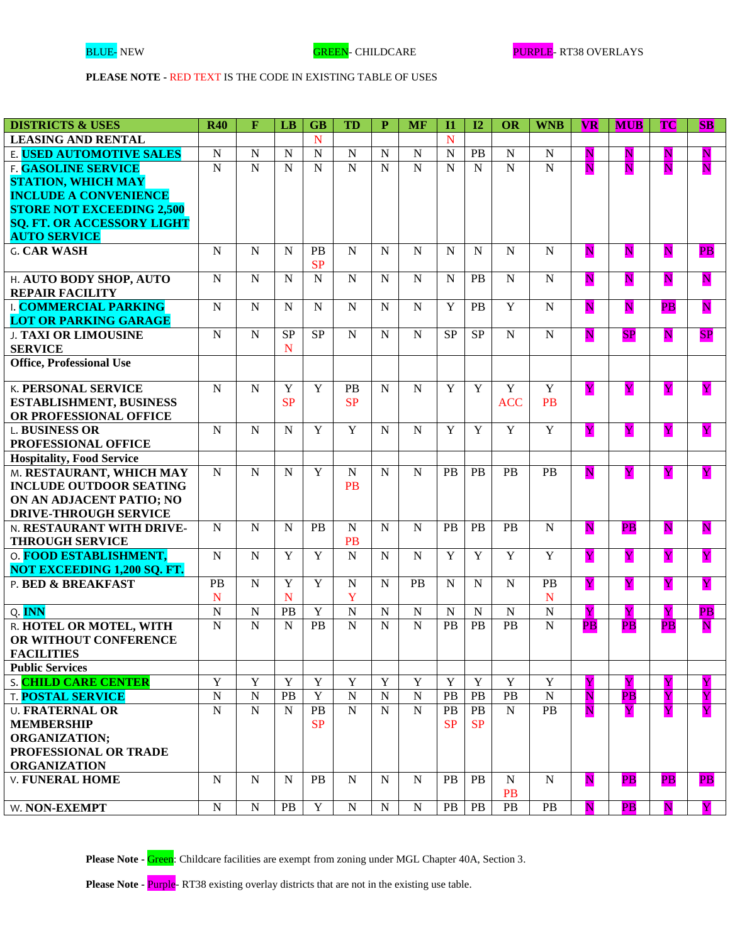| <b>DISTRICTS &amp; USES</b>        | <b>R40</b>     | $\mathbf F$    | LB             | <b>GB</b>      | <b>TD</b>      | $\mathbf{P}$   | <b>MF</b>      | $\mathbf{I}$   | I2             | OR             | <b>WNB</b>      | <b>VR</b>               | <b>MUB</b>               | <b>TC</b>               | <b>SB</b>                |
|------------------------------------|----------------|----------------|----------------|----------------|----------------|----------------|----------------|----------------|----------------|----------------|-----------------|-------------------------|--------------------------|-------------------------|--------------------------|
| <b>LEASING AND RENTAL</b>          |                |                |                | N              |                |                |                | N              |                |                |                 |                         |                          |                         |                          |
| E. USED AUTOMOTIVE SALES           | ${\bf N}$      | $\overline{N}$ | $\mathbf N$    | $\overline{N}$ | $\overline{N}$ | $\mathbf N$    | $\mathbf N$    | $\overline{N}$ | PB             | $\overline{N}$ | ${\bf N}$       | ${\bf N}$               | $\mathbf N$              | N                       | ${\bf N}$                |
| <b>F. GASOLINE SERVICE</b>         | $\overline{N}$ | $\overline{N}$ | $\overline{N}$ | $\overline{N}$ | $\overline{N}$ | $\overline{N}$ | $\overline{N}$ | $\overline{N}$ | $\overline{N}$ | $\overline{N}$ | $\overline{N}$  | $\mathbf N$             | N                        | N                       | $\overline{\mathbf{N}}$  |
| <b>STATION, WHICH MAY</b>          |                |                |                |                |                |                |                |                |                |                |                 |                         |                          |                         |                          |
| <b>INCLUDE A CONVENIENCE</b>       |                |                |                |                |                |                |                |                |                |                |                 |                         |                          |                         |                          |
| <b>STORE NOT EXCEEDING 2,500</b>   |                |                |                |                |                |                |                |                |                |                |                 |                         |                          |                         |                          |
| <b>SQ. FT. OR ACCESSORY LIGHT</b>  |                |                |                |                |                |                |                |                |                |                |                 |                         |                          |                         |                          |
| <b>AUTO SERVICE</b>                |                |                |                |                |                |                |                |                |                |                |                 |                         |                          |                         |                          |
| <b>G. CAR WASH</b>                 | ${\bf N}$      | $\mathbf N$    | $\mathbf N$    | PB             | $\mathbf N$    | $\mathbf N$    | $\mathbf N$    | N              | $\mathbf N$    | $\mathbf N$    | $\mathbf N$     | $\overline{\mathbf{N}}$ | $\overline{\mathbf{N}}$  | $\overline{\mathbf{N}}$ | $\overline{\mathbf{PB}}$ |
|                                    |                |                |                | <b>SP</b>      |                |                |                |                |                |                |                 |                         |                          |                         |                          |
| H. AUTO BODY SHOP, AUTO            | ${\bf N}$      | $\mathbf N$    | $\mathbf N$    | $\mathbf N$    | ${\bf N}$      | $\mathbf N$    | $\mathbf N$    | N              | PB             | ${\bf N}$      | $\mathbf N$     | $\overline{\mathbf{N}}$ | $\overline{\mathbf{N}}$  | $\overline{\mathbf{N}}$ | $\overline{\mathbf{N}}$  |
| <b>REPAIR FACILITY</b>             |                |                |                |                |                |                |                |                |                |                |                 |                         |                          |                         |                          |
| <b>L COMMERCIAL PARKING</b>        | $\mathbf N$    | $\mathbf N$    | N              | $\mathbf N$    | $\mathbf N$    | $\mathbf N$    | N              | Y              | PB             | Y              | N               | ${\bf N}$               | ${\bf N}$                | $\overline{PB}$         | $\overline{\mathbf{N}}$  |
| <b>LOT OR PARKING GARAGE</b>       |                |                |                |                |                |                |                |                |                |                |                 |                         |                          |                         |                          |
| <b>J. TAXI OR LIMOUSINE</b>        | ${\bf N}$      | $\mathbf N$    | <b>SP</b>      | <b>SP</b>      | ${\bf N}$      | N              | N              | <b>SP</b>      | <b>SP</b>      | $\mathbf N$    | $\mathbf N$     | $\overline{\mathbf{N}}$ | SP                       | $\overline{\mathbf{N}}$ | SP                       |
| <b>SERVICE</b>                     |                |                | N              |                |                |                |                |                |                |                |                 |                         |                          |                         |                          |
| <b>Office, Professional Use</b>    |                |                |                |                |                |                |                |                |                |                |                 |                         |                          |                         |                          |
|                                    |                |                |                |                |                |                |                |                |                |                |                 |                         |                          |                         |                          |
| <b>K. PERSONAL SERVICE</b>         | ${\bf N}$      | N              | Y              | Y              | <b>PB</b>      | N              | N              | Y              | Y              | Y              | Y               | Y                       | Y                        | $\overline{\mathbf{Y}}$ | Y                        |
| <b>ESTABLISHMENT, BUSINESS</b>     |                |                | SP             |                | <b>SP</b>      |                |                |                |                | <b>ACC</b>     | <b>PB</b>       |                         |                          |                         |                          |
| OR PROFESSIONAL OFFICE             |                |                |                |                |                |                |                |                |                |                |                 |                         |                          |                         |                          |
| <b>L. BUSINESS OR</b>              | $\mathbf N$    | $\mathbf N$    | N              | Y              | $\overline{Y}$ | N              | N              | Y              | Y              | $\overline{Y}$ | Y               | Y                       | Y                        | $\overline{\mathbf{Y}}$ | $\overline{\mathbf{Y}}$  |
| PROFESSIONAL OFFICE                |                |                |                |                |                |                |                |                |                |                |                 |                         |                          |                         |                          |
| <b>Hospitality, Food Service</b>   |                |                |                |                |                |                |                |                |                |                |                 |                         |                          |                         |                          |
| M. RESTAURANT, WHICH MAY           | ${\bf N}$      | ${\bf N}$      | N              | Y              | ${\bf N}$      | N              | $\mathbf N$    | <b>PB</b>      | PB             | PB             | PB              | N                       | Y                        | $\overline{\mathbf{Y}}$ | $\overline{\mathbf{Y}}$  |
| <b>INCLUDE OUTDOOR SEATING</b>     |                |                |                |                | <b>PB</b>      |                |                |                |                |                |                 |                         |                          |                         |                          |
| ON AN ADJACENT PATIO; NO           |                |                |                |                |                |                |                |                |                |                |                 |                         |                          |                         |                          |
| <b>DRIVE-THROUGH SERVICE</b>       |                |                |                |                |                |                |                |                |                |                |                 |                         |                          |                         |                          |
| N. RESTAURANT WITH DRIVE-          | ${\bf N}$      | $\mathbf N$    | N              | <b>PB</b>      | ${\bf N}$      | N              | N              | <b>PB</b>      | <b>PB</b>      | PB             | $\mathbf N$     | $\overline{\mathbf{N}}$ | PB                       | $\overline{\mathbf{N}}$ | $\overline{\mathbf{N}}$  |
| <b>THROUGH SERVICE</b>             |                |                |                |                | PB             |                |                |                |                |                |                 |                         |                          |                         |                          |
| O. FOOD ESTABLISHMENT,             | $\mathbf N$    | $\mathbf N$    | Y              | Y              | ${\bf N}$      | N              | $\mathbf N$    | $\overline{Y}$ | Y              | $\overline{Y}$ | Y               | Y                       | Y                        | Y                       | Y                        |
| <b>NOT EXCEEDING 1,200 SQ. FT.</b> |                |                |                |                |                |                |                |                |                |                |                 |                         |                          |                         |                          |
| P. BED & BREAKFAST                 | PB             | $\mathbf N$    | Y              | Y              | ${\bf N}$      | N              | PB             | $\mathbf N$    | $\mathbf N$    | ${\bf N}$      | PB              | $\overline{\mathbf{Y}}$ | Y                        | Y                       | $\overline{\mathbf{Y}}$  |
|                                    | N              |                | N              |                | Y              |                |                |                |                |                | ${\bf N}$       |                         |                          |                         |                          |
| Q. INN                             | $\mathbf N$    | $\mathbf N$    | PB             | $\mathbf Y$    | ${\bf N}$      | ${\bf N}$      | $\mathbf N$    | $\mathbf N$    | ${\bf N}$      | ${\bf N}$      | ${\bf N}$       | $\overline{\mathbf{Y}}$ | Y                        | Y                       | $\overline{\mathbf{PB}}$ |
| R. HOTEL OR MOTEL, WITH            | ${\bf N}$      | $\mathbf N$    | $\mathbf N$    | PB             | $\mathbf N$    | $\mathbf N$    | $\mathbf N$    | PB             | PB             | PB             | $\mathbf N$     | <b>PB</b>               | $\overline{\mathbf{PB}}$ | PB                      | $\overline{\mathbf{N}}$  |
| OR WITHOUT CONFERENCE              |                |                |                |                |                |                |                |                |                |                |                 |                         |                          |                         |                          |
| <b>FACILITIES</b>                  |                |                |                |                |                |                |                |                |                |                |                 |                         |                          |                         |                          |
| <b>Public Services</b>             |                |                |                |                |                |                |                |                |                |                |                 |                         |                          |                         |                          |
| S. CHILD CARE CENTER               | $\overline{Y}$ | Y              | Y              | $\mathbf Y$    | $\mathbf Y$    | Y              | $\mathbf Y$    | $\mathbf Y$    | Y              | $\mathbf Y$    | $\mathbf Y$     | Y                       | Y                        | $\mathbf Y$             | Y                        |
| <b>T. POSTAL SERVICE</b>           | $\overline{N}$ | ${\bf N}$      | PB             | $\overline{Y}$ | ${\bf N}$      | $\mathbf N$    | $\mathbf N$    | <b>PB</b>      | PB             | PB             | $\overline{N}$  | N                       | $\overline{PB}$          | Y                       | Y                        |
| <b>U. FRATERNAL OR</b>             | ${\bf N}$      | $\mathbf N$    | $\mathbf N$    | PB             | $\mathbf N$    | N              | $\mathbf N$    | PB             | PB             | N              | $\overline{PB}$ | N                       | Y                        | $\overline{\mathbf{Y}}$ | Y                        |
| <b>MEMBERSHIP</b>                  |                |                |                | <b>SP</b>      |                |                |                | SP             | <b>SP</b>      |                |                 |                         |                          |                         |                          |
| <b>ORGANIZATION;</b>               |                |                |                |                |                |                |                |                |                |                |                 |                         |                          |                         |                          |
| PROFESSIONAL OR TRADE              |                |                |                |                |                |                |                |                |                |                |                 |                         |                          |                         |                          |
| <b>ORGANIZATION</b>                |                |                |                |                |                |                |                |                |                |                |                 |                         |                          |                         |                          |
| <b>V. FUNERAL HOME</b>             | ${\bf N}$      | $\mathbf N$    | N              | PB             | N              | N              | N              | <b>PB</b>      | PB             | $\mathbf N$    | N               | ${\bf N}$               | $\overline{PB}$          | PB                      | $\overline{\mathbf{PB}}$ |
|                                    |                |                |                |                |                |                |                |                |                | <b>PB</b>      |                 |                         |                          |                         |                          |
| W. NON-EXEMPT                      | ${\bf N}$      | ${\bf N}$      | PB             | Y              | $\mathbf N$    | $\mathbf N$    | $\mathbf N$    | PB             | PB             | PB             | <b>PB</b>       | N                       | $\overline{PB}$          | N                       | $\mathbf{Y}$             |

Please Note - Green: Childcare facilities are exempt from zoning under MGL Chapter 40A, Section 3.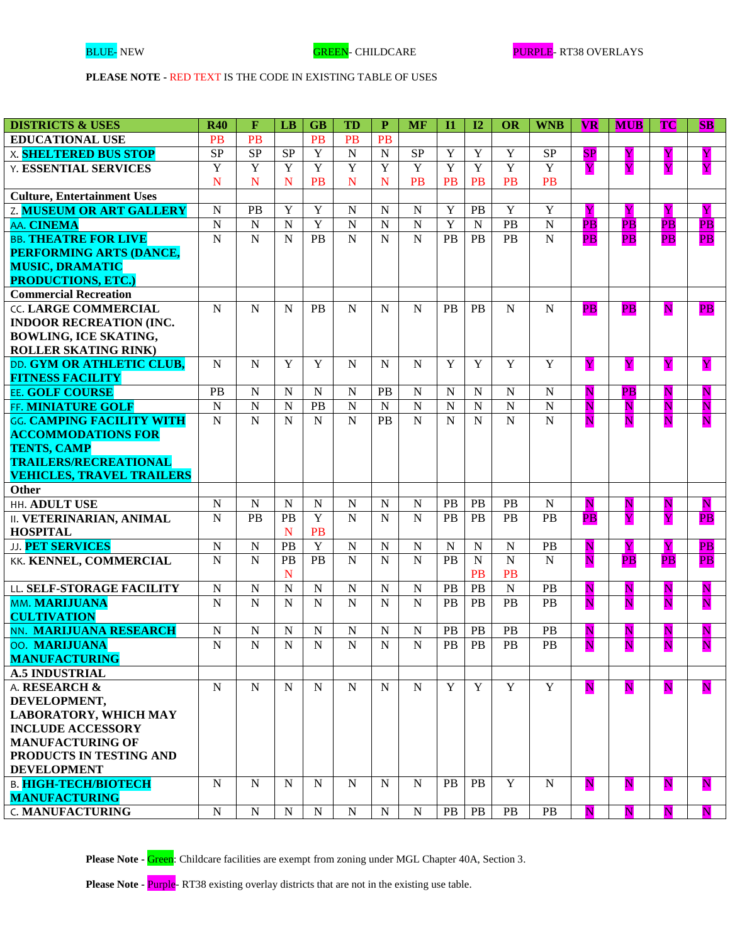| <b>DISTRICTS &amp; USES</b>                              | <b>R40</b>  | $\mathbf{F}$    | LB             | <b>GB</b>      | <b>TD</b>      | $\mathbf{P}$   | <b>MF</b>      | $\mathbf{I}$   | I2             | OR             | <b>WNB</b>            | <b>VR</b>                | <b>MUB</b>               | <b>TC</b>               | $ {\bf SB} $             |
|----------------------------------------------------------|-------------|-----------------|----------------|----------------|----------------|----------------|----------------|----------------|----------------|----------------|-----------------------|--------------------------|--------------------------|-------------------------|--------------------------|
| <b>EDUCATIONAL USE</b>                                   | <b>PB</b>   | <b>PB</b>       |                | <b>PB</b>      | PB             | <b>PB</b>      |                |                |                |                |                       |                          |                          |                         |                          |
| <b>X. SHELTERED BUS STOP</b>                             | <b>SP</b>   | $\overline{SP}$ | <b>SP</b>      | Y              | $\overline{N}$ | $\overline{N}$ | $\rm SP$       | $\overline{Y}$ | Y              | $\overline{Y}$ | <b>SP</b>             | SP                       | Y                        | Y                       | Y                        |
| <b>Y. ESSENTIAL SERVICES</b>                             | Y           | Y               | Y              | Y              | Y              | $\overline{Y}$ | $\overline{Y}$ | Y              | $\overline{Y}$ | $\overline{Y}$ | $\overline{Y}$        | Y                        | $\overline{\mathbf{Y}}$  | Y                       | Y                        |
|                                                          | $\mathbf N$ | N               | N              | <b>PB</b>      | $\mathbf N$    | N              | <b>PB</b>      | PB             | PB             | <b>PB</b>      | <b>PB</b>             |                          |                          |                         |                          |
| <b>Culture, Entertainment Uses</b>                       |             |                 |                |                |                |                |                |                |                |                |                       |                          |                          |                         |                          |
| <b>Z. MUSEUM OR ART GALLERY</b>                          | ${\bf N}$   | PB              | Y              | $\mathbf Y$    | ${\bf N}$      | $\mathbf N$    | $\mathbf N$    | Y              | PB             | $\mathbf Y$    | Y                     | $\overline{\mathbf{Y}}$  | $\mathbf Y$              | Y                       | Y                        |
| AA. CINEMA                                               | $\mathbf N$ | ${\bf N}$       | $\mathbf N$    | $\mathbf Y$    | ${\bf N}$      | ${\bf N}$      | ${\bf N}$      | $\mathbf Y$    | $\mathbf N$    | $\mathbf{PB}$  | ${\bf N}$             | $\overline{\mathbf{PB}}$ | $\overline{\mathbf{PB}}$ | $\overline{PB}$         | $\overline{\mathbf{PB}}$ |
| <b>BB. THEATRE FOR LIVE</b>                              | ${\bf N}$   | ${\bf N}$       | N              | PB             | $\mathbf N$    | $\mathbf N$    | $\mathbf N$    | <b>PB</b>      | PB             | PB             | $\mathbf N$           | $\overline{PB}$          | PB                       | PB                      | $\overline{PB}$          |
| PERFORMING ARTS (DANCE,                                  |             |                 |                |                |                |                |                |                |                |                |                       |                          |                          |                         |                          |
| <b>MUSIC, DRAMATIC</b>                                   |             |                 |                |                |                |                |                |                |                |                |                       |                          |                          |                         |                          |
| <b>PRODUCTIONS, ETC.)</b>                                |             |                 |                |                |                |                |                |                |                |                |                       |                          |                          |                         |                          |
| <b>Commercial Recreation</b>                             |             |                 |                |                |                |                |                |                |                |                |                       |                          |                          |                         |                          |
| <b>CC. LARGE COMMERCIAL</b>                              | N           | $\mathbf N$     | N              | <b>PB</b>      | $\mathbf N$    | N              | N              | <b>PB</b>      | <b>PB</b>      | N              | N                     | PB                       | PB                       | $\overline{\mathbf{N}}$ | $\overline{PB}$          |
| <b>INDOOR RECREATION (INC.</b>                           |             |                 |                |                |                |                |                |                |                |                |                       |                          |                          |                         |                          |
| <b>BOWLING, ICE SKATING,</b>                             |             |                 |                |                |                |                |                |                |                |                |                       |                          |                          |                         |                          |
| <b>ROLLER SKATING RINK)</b>                              |             |                 |                |                |                |                |                |                |                |                |                       |                          |                          |                         |                          |
| DD. GYM OR ATHLETIC CLUB,                                | $\mathbf N$ | ${\bf N}$       | Y              | Y              | $\mathbf N$    | N              | N              | Y              | Y              | Y              | Y                     | Y                        | $\mathbf Y$              | Y                       | Y                        |
| <b>FITNESS FACILITY</b>                                  |             |                 |                |                |                |                |                |                |                |                |                       |                          |                          |                         |                          |
| EE. GOLF COURSE                                          | PB          | ${\bf N}$       | N              | $\mathbf N$    | ${\bf N}$      | <b>PB</b>      | $\mathbf N$    | N              | $\mathbf N$    | $\mathbf N$    | $\mathbf N$           | $\overline{\mathbf{N}}$  | PB                       | $\overline{\mathbf{N}}$ | $\overline{\mathbf{N}}$  |
| FF. MINIATURE GOLF                                       | ${\bf N}$   | $\mathbf N$     | $\mathbf N$    | PB             | ${\bf N}$      | $\mathbf N$    | ${\bf N}$      | $\mathbf N$    | $\mathbf N$    | $\mathbf N$    | ${\bf N}$             | $\overline{\mathbf{N}}$  | $\overline{\mathbf{N}}$  | $\overline{\mathbf{N}}$ | $\overline{\mathbf{N}}$  |
| GG. CAMPING FACILITY WITH                                | $\mathbf N$ | $\mathbf N$     | N              | $\mathbf N$    | $\mathbf N$    | PB             | $\mathbf N$    | $\mathbf N$    | $\mathbf N$    | $\mathbf N$    | $\mathbf N$           | N                        | N                        | N                       | $\overline{\mathbf{N}}$  |
| <b>ACCOMMODATIONS FOR</b>                                |             |                 |                |                |                |                |                |                |                |                |                       |                          |                          |                         |                          |
| <b>TENTS, CAMP</b>                                       |             |                 |                |                |                |                |                |                |                |                |                       |                          |                          |                         |                          |
| <b>TRAILERS/RECREATIONAL</b>                             |             |                 |                |                |                |                |                |                |                |                |                       |                          |                          |                         |                          |
| <b>VEHICLES, TRAVEL TRAILERS</b>                         |             |                 |                |                |                |                |                |                |                |                |                       |                          |                          |                         |                          |
| <b>Other</b>                                             |             |                 |                |                |                |                |                |                |                |                |                       |                          |                          |                         |                          |
| HH. ADULT USE                                            | $\mathbf N$ | ${\bf N}$       | $\mathbf N$    | ${\bf N}$      | $\mathbf N$    | ${\bf N}$      | $\mathbf N$    | PB             | PB             | PB             | ${\bf N}$             | ${\bf N}$                | N                        | N                       | ${\bf N}$                |
| <b>II. VETERINARIAN, ANIMAL</b>                          | $\mathbf N$ | PB              | PB             | Y              | $\mathbf N$    | $\mathbf N$    | $\mathbf N$    | <b>PB</b>      | PB             | PB             | $\overline{PB}$       | $\overline{\mathbf{PB}}$ | Y                        | Y                       | $\overline{\mathbf{PB}}$ |
| <b>HOSPITAL</b>                                          |             |                 | $\mathbf N$    | <b>PB</b>      |                |                |                |                |                |                |                       |                          |                          |                         |                          |
| <b>JJ. PET SERVICES</b>                                  | ${\bf N}$   | ${\bf N}$       | PB             | $\overline{Y}$ | ${\bf N}$      | $\mathbf N$    | $\mathbf N$    | $\mathbf N$    | $\mathbf N$    | ${\bf N}$      | PB                    | ${\bf N}$                | Y                        | Y                       | PB                       |
| KK. KENNEL, COMMERCIAL                                   | $\mathbf N$ | $\mathbf N$     | PB             | PB             | $\mathbf N$    | N              | N              | <b>PB</b>      | N              | $\overline{N}$ | $\mathbf N$           | N                        | $\overline{PB}$          | PB                      | $\overline{\mathbf{PB}}$ |
|                                                          |             |                 | N              |                |                |                |                |                | <b>PB</b>      | <b>PB</b>      |                       |                          |                          |                         |                          |
| LL. SELF-STORAGE FACILITY                                | ${\bf N}$   | $\mathbf N$     | $\overline{N}$ | ${\bf N}$      | ${\bf N}$      | $\mathbf N$    | $\mathbf N$    | <b>PB</b>      | PB             | ${\bf N}$      | <b>PB</b>             | ${\bf N}$                | N                        | $\mathbf N$             | ${\bf N}$                |
| MM. MARIJUANA                                            | $\mathbf N$ | $\overline{N}$  | N              | $\mathbf N$    | $\overline{N}$ | $\overline{N}$ | $\overline{N}$ | <b>PB</b>      | <b>PB</b>      | PB             | PB                    | N                        | N                        | N                       | N                        |
| <b>CULTIVATION</b>                                       |             |                 |                |                |                |                |                |                |                |                |                       |                          |                          |                         |                          |
| NN. MARIJUANA RESEARCH                                   | ${\bf N}$   | $\mathbf N$     | N              | ${\bf N}$      | ${\bf N}$      | $\mathbf N$    | $\mathbf N$    | PB             | PB             | PB             | PB<br>$\overline{PB}$ | N                        | Ν                        | N                       | N                        |
| 00. MARIJUANA                                            | ${\bf N}$   | $\mathbf N$     | $\mathbf N$    | ${\bf N}$      | ${\bf N}$      | $\mathbf N$    | ${\bf N}$      | PB             | PB             | PB             |                       | N                        | N                        | $\overline{\mathbf{N}}$ | N                        |
| <b>MANUFACTURING</b>                                     |             |                 |                |                |                |                |                |                |                |                |                       |                          |                          |                         |                          |
| <b>A.5 INDUSTRIAL</b>                                    |             |                 |                | N              | N              |                |                | Y              | Y              | Y              | Y                     |                          |                          |                         |                          |
| A. RESEARCH &                                            | $\mathbf N$ | N               | N              |                |                | N              | N              |                |                |                |                       | ${\bf N}$                | ${\bf N}$                | ${\bf N}$               | ${\bf N}$                |
| DEVELOPMENT,                                             |             |                 |                |                |                |                |                |                |                |                |                       |                          |                          |                         |                          |
| <b>LABORATORY, WHICH MAY</b><br><b>INCLUDE ACCESSORY</b> |             |                 |                |                |                |                |                |                |                |                |                       |                          |                          |                         |                          |
| <b>MANUFACTURING OF</b>                                  |             |                 |                |                |                |                |                |                |                |                |                       |                          |                          |                         |                          |
| PRODUCTS IN TESTING AND                                  |             |                 |                |                |                |                |                |                |                |                |                       |                          |                          |                         |                          |
| <b>DEVELOPMENT</b>                                       |             |                 |                |                |                |                |                |                |                |                |                       |                          |                          |                         |                          |
| <b>B. HIGH-TECH/BIOTECH</b>                              | $\mathbf N$ | N               | N              | $\mathbf N$    | N              | N              | N              | <b>PB</b>      | <b>PB</b>      | Y              | N                     | ${\bf N}$                | N                        | ${\bf N}$               | ${\bf N}$                |
| <b>MANUFACTURING</b>                                     |             |                 |                |                |                |                |                |                |                |                |                       |                          |                          |                         |                          |
| <b>C. MANUFACTURING</b>                                  | N           | ${\bf N}$       | $\mathbf N$    | ${\bf N}$      | N              | ${\bf N}$      | N              | <b>PB</b>      | PB             | <b>PB</b>      | <b>PB</b>             | N                        | Ν                        | Ν                       | N                        |
|                                                          |             |                 |                |                |                |                |                |                |                |                |                       |                          |                          |                         |                          |

Please Note - Green: Childcare facilities are exempt from zoning under MGL Chapter 40A, Section 3.